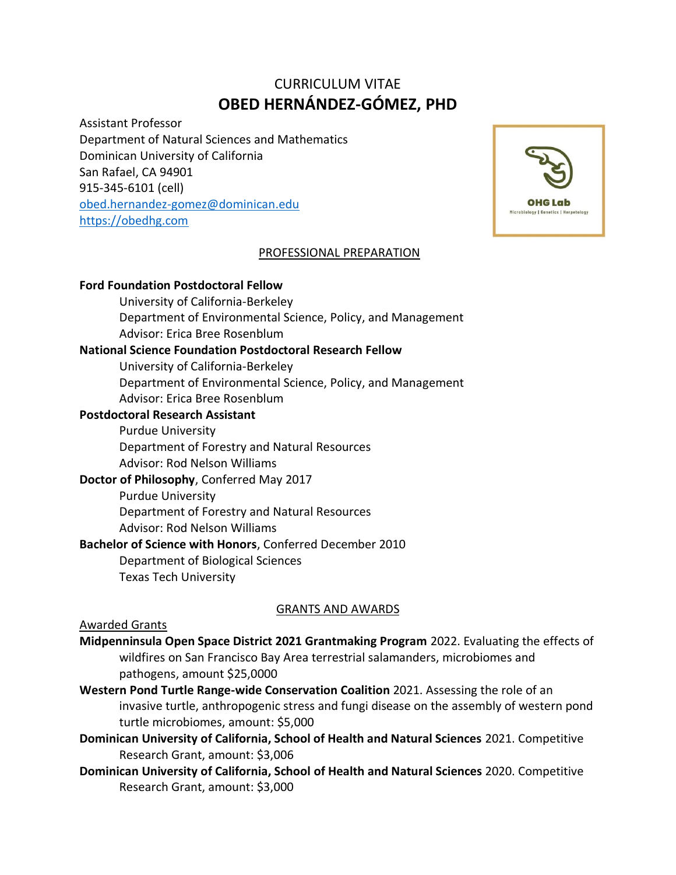# CURRICULUM VITAE **OBED HERNÁNDEZ-GÓMEZ, PHD**

Assistant Professor Department of Natural Sciences and Mathematics Dominican University of California San Rafael, CA 94901 915-345-6101 (cell) [obed.hernandez-gomez@dominican.edu](mailto:obed.hernandez-gomez@dominican.edu) [https://obedhg.com](https://obedhg.com/)



### PROFESSIONAL PREPARATION

#### **Ford Foundation Postdoctoral Fellow**

University of California-Berkeley Department of Environmental Science, Policy, and Management Advisor: Erica Bree Rosenblum

## **National Science Foundation Postdoctoral Research Fellow**

University of California-Berkeley

Department of Environmental Science, Policy, and Management Advisor: Erica Bree Rosenblum

#### **Postdoctoral Research Assistant**

Purdue University Department of Forestry and Natural Resources Advisor: Rod Nelson Williams

#### **Doctor of Philosophy**, Conferred May 2017

Purdue University Department of Forestry and Natural Resources Advisor: Rod Nelson Williams

**Bachelor of Science with Honors**, Conferred December 2010

Department of Biological Sciences

Texas Tech University

# GRANTS AND AWARDS

#### Awarded Grants

- **Midpenninsula Open Space District 2021 Grantmaking Program** 2022. Evaluating the effects of wildfires on San Francisco Bay Area terrestrial salamanders, microbiomes and pathogens, amount \$25,0000
- **Western Pond Turtle Range-wide Conservation Coalition** 2021. Assessing the role of an invasive turtle, anthropogenic stress and fungi disease on the assembly of western pond turtle microbiomes, amount: \$5,000
- **Dominican University of California, School of Health and Natural Sciences** 2021. Competitive Research Grant, amount: \$3,006
- **Dominican University of California, School of Health and Natural Sciences** 2020. Competitive Research Grant, amount: \$3,000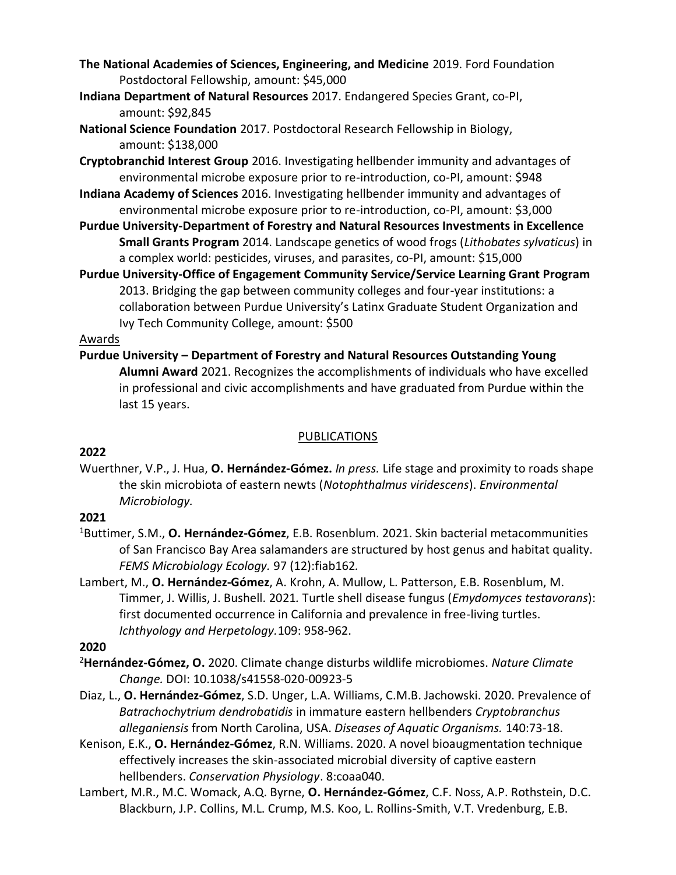- **The National Academies of Sciences, Engineering, and Medicine** 2019. Ford Foundation Postdoctoral Fellowship, amount: \$45,000
- **Indiana Department of Natural Resources** 2017. Endangered Species Grant, co-PI, amount: \$92,845
- **National Science Foundation** 2017. Postdoctoral Research Fellowship in Biology, amount: \$138,000
- **Cryptobranchid Interest Group** 2016. Investigating hellbender immunity and advantages of environmental microbe exposure prior to re-introduction, co-PI, amount: \$948
- **Indiana Academy of Sciences** 2016. Investigating hellbender immunity and advantages of environmental microbe exposure prior to re-introduction, co-PI, amount: \$3,000
- **Purdue University-Department of Forestry and Natural Resources Investments in Excellence Small Grants Program** 2014. Landscape genetics of wood frogs (*Lithobates sylvaticus*) in a complex world: pesticides, viruses, and parasites, co-PI, amount: \$15,000
- **Purdue University-Office of Engagement Community Service/Service Learning Grant Program**  2013. Bridging the gap between community colleges and four-year institutions: a collaboration between Purdue University's Latinx Graduate Student Organization and Ivy Tech Community College, amount: \$500

### Awards

**Purdue University – Department of Forestry and Natural Resources Outstanding Young Alumni Award** 2021. Recognizes the accomplishments of individuals who have excelled in professional and civic accomplishments and have graduated from Purdue within the last 15 years.

## PUBLICATIONS

# **2022**

Wuerthner, V.P., J. Hua, **O. Hernández-Gómez.** *In press.* Life stage and proximity to roads shape the skin microbiota of eastern newts (*Notophthalmus viridescens*). *Environmental Microbiology.*

# **2021**

- <sup>1</sup>Buttimer, S.M., **O. Hernández-Gómez**, E.B. Rosenblum. 2021. Skin bacterial metacommunities of San Francisco Bay Area salamanders are structured by host genus and habitat quality. *FEMS Microbiology Ecology.* 97 (12):fiab162*.*
- Lambert, M., **O. Hernández-Gómez**, A. Krohn, A. Mullow, L. Patterson, E.B. Rosenblum, M. Timmer, J. Willis, J. Bushell. 2021*.* Turtle shell disease fungus (*Emydomyces testavorans*): first documented occurrence in California and prevalence in free-living turtles. *Ichthyology and Herpetology.*109: 958-962.

# **2020**

- <sup>2</sup>**Hernández-Gómez, O.** 2020. Climate change disturbs wildlife microbiomes. *Nature Climate Change.* DOI: 10.1038/s41558-020-00923-5
- Diaz, L., **O. Hernández-Gómez**, S.D. Unger, L.A. Williams, C.M.B. Jachowski. 2020. Prevalence of *Batrachochytrium dendrobatidis* in immature eastern hellbenders *Cryptobranchus alleganiensis* from North Carolina, USA. *Diseases of Aquatic Organisms.* 140:73-18.
- Kenison, E.K., **O. Hernández-Gómez**, R.N. Williams. 2020. A novel bioaugmentation technique effectively increases the skin-associated microbial diversity of captive eastern hellbenders. *Conservation Physiology*. 8:coaa040.
- Lambert, M.R., M.C. Womack, A.Q. Byrne, **O. Hernández-Gómez**, C.F. Noss, A.P. Rothstein, D.C. Blackburn, J.P. Collins, M.L. Crump, M.S. Koo, L. Rollins-Smith, V.T. Vredenburg, E.B.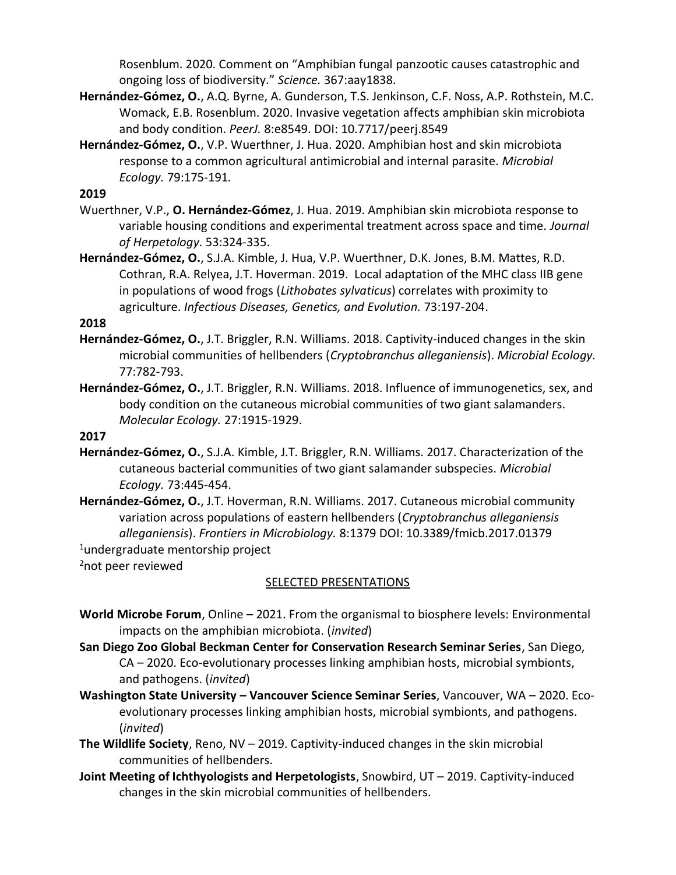Rosenblum. 2020. Comment on "Amphibian fungal panzootic causes catastrophic and ongoing loss of biodiversity." *Science.* 367:aay1838.

- **Hernández-Gómez, O.**, A.Q. Byrne, A. Gunderson, T.S. Jenkinson, C.F. Noss, A.P. Rothstein, M.C. Womack, E.B. Rosenblum. 2020. Invasive vegetation affects amphibian skin microbiota and body condition. *PeerJ.* 8:e8549. DOI: 10.7717/peerj.8549
- **Hernández-Gómez, O.**, V.P. Wuerthner, J. Hua. 2020. Amphibian host and skin microbiota response to a common agricultural antimicrobial and internal parasite. *Microbial Ecology.* 79:175-191*.*

# **2019**

- Wuerthner, V.P., **O. Hernández-Gómez**, J. Hua. 2019. Amphibian skin microbiota response to variable housing conditions and experimental treatment across space and time. *Journal of Herpetology.* 53:324-335.
- **Hernández-Gómez, O.**, S.J.A. Kimble, J. Hua, V.P. Wuerthner, D.K. Jones, B.M. Mattes, R.D. Cothran, R.A. Relyea, J.T. Hoverman. 2019. Local adaptation of the MHC class IIB gene in populations of wood frogs (*Lithobates sylvaticus*) correlates with proximity to agriculture. *Infectious Diseases, Genetics, and Evolution.* 73:197-204.

# **2018**

- **Hernández-Gómez, O.**, J.T. Briggler, R.N. Williams. 2018. Captivity-induced changes in the skin microbial communities of hellbenders (*Cryptobranchus alleganiensis*). *Microbial Ecology.*  77:782-793.
- **Hernández-Gómez, O.**, J.T. Briggler, R.N. Williams. 2018. Influence of immunogenetics, sex, and body condition on the cutaneous microbial communities of two giant salamanders. *Molecular Ecology.* 27:1915-1929.

### **2017**

- **Hernández-Gómez, O.**, S.J.A. Kimble, J.T. Briggler, R.N. Williams. 2017. Characterization of the cutaneous bacterial communities of two giant salamander subspecies. *Microbial Ecology.* 73:445-454.
- **Hernández-Gómez, O.**, J.T. Hoverman, R.N. Williams. 2017. Cutaneous microbial community variation across populations of eastern hellbenders (*Cryptobranchus alleganiensis alleganiensis*). *Frontiers in Microbiology.* 8:1379 DOI: 10.3389/fmicb.2017.01379

<sup>1</sup>undergraduate mentorship project

<sup>2</sup>not peer reviewed

# SELECTED PRESENTATIONS

- **World Microbe Forum**, Online 2021. From the organismal to biosphere levels: Environmental impacts on the amphibian microbiota. (*invited*)
- **San Diego Zoo Global Beckman Center for Conservation Research Seminar Series**, San Diego, CA – 2020. Eco-evolutionary processes linking amphibian hosts, microbial symbionts, and pathogens. (*invited*)
- **Washington State University – Vancouver Science Seminar Series**, Vancouver, WA 2020. Ecoevolutionary processes linking amphibian hosts, microbial symbionts, and pathogens. (*invited*)
- **The Wildlife Society**, Reno, NV 2019. Captivity-induced changes in the skin microbial communities of hellbenders.
- **Joint Meeting of Ichthyologists and Herpetologists**, Snowbird, UT 2019. Captivity-induced changes in the skin microbial communities of hellbenders.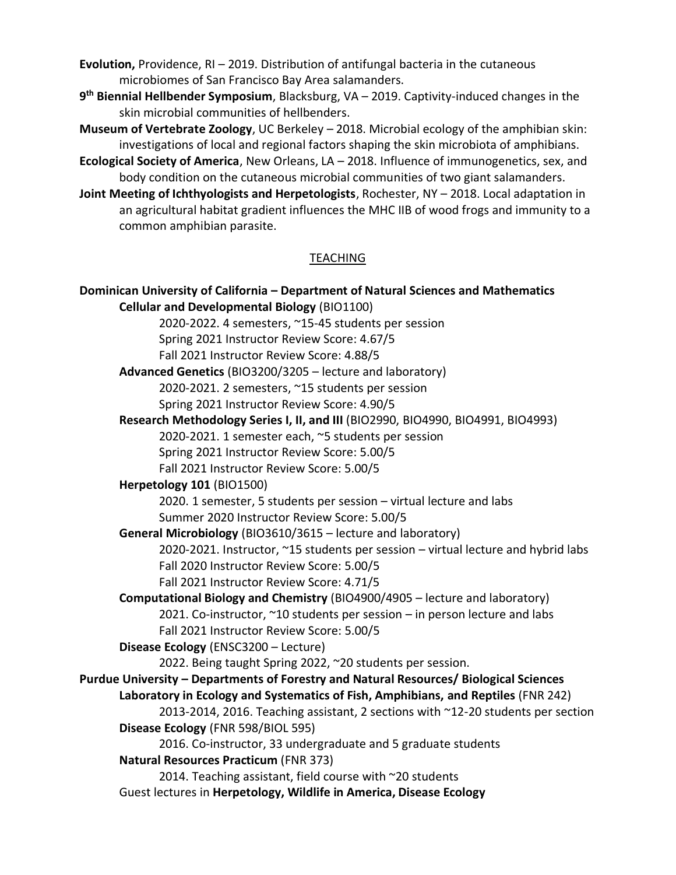**Evolution,** Providence, RI – 2019. Distribution of antifungal bacteria in the cutaneous microbiomes of San Francisco Bay Area salamanders.

**9 th Biennial Hellbender Symposium**, Blacksburg, VA – 2019. Captivity-induced changes in the skin microbial communities of hellbenders.

**Museum of Vertebrate Zoology**, UC Berkeley – 2018. Microbial ecology of the amphibian skin: investigations of local and regional factors shaping the skin microbiota of amphibians.

**Ecological Society of America**, New Orleans, LA – 2018. Influence of immunogenetics, sex, and body condition on the cutaneous microbial communities of two giant salamanders.

**Joint Meeting of Ichthyologists and Herpetologists**, Rochester, NY – 2018. Local adaptation in an agricultural habitat gradient influences the MHC IIB of wood frogs and immunity to a common amphibian parasite.

### TEACHING

**Dominican University of California – Department of Natural Sciences and Mathematics Cellular and Developmental Biology** (BIO1100) 2020-2022. 4 semesters, ~15-45 students per session Spring 2021 Instructor Review Score: 4.67/5 Fall 2021 Instructor Review Score: 4.88/5 **Advanced Genetics** (BIO3200/3205 – lecture and laboratory) 2020-2021. 2 semesters, ~15 students per session Spring 2021 Instructor Review Score: 4.90/5 **Research Methodology Series I, II, and III** (BIO2990, BIO4990, BIO4991, BIO4993) 2020-2021. 1 semester each, ~5 students per session Spring 2021 Instructor Review Score: 5.00/5 Fall 2021 Instructor Review Score: 5.00/5 **Herpetology 101** (BIO1500) 2020. 1 semester, 5 students per session – virtual lecture and labs Summer 2020 Instructor Review Score: 5.00/5 **General Microbiology** (BIO3610/3615 – lecture and laboratory) 2020-2021. Instructor, ~15 students per session – virtual lecture and hybrid labs Fall 2020 Instructor Review Score: 5.00/5 Fall 2021 Instructor Review Score: 4.71/5 **Computational Biology and Chemistry** (BIO4900/4905 – lecture and laboratory) 2021. Co-instructor,  $\sim$ 10 students per session – in person lecture and labs Fall 2021 Instructor Review Score: 5.00/5 **Disease Ecology** (ENSC3200 – Lecture) 2022. Being taught Spring 2022, ~20 students per session. **Purdue University – Departments of Forestry and Natural Resources/ Biological Sciences Laboratory in Ecology and Systematics of Fish, Amphibians, and Reptiles** (FNR 242) 2013-2014, 2016. Teaching assistant, 2 sections with ~12-20 students per section **Disease Ecology** (FNR 598/BIOL 595) 2016. Co-instructor, 33 undergraduate and 5 graduate students **Natural Resources Practicum** (FNR 373) 2014. Teaching assistant, field course with ~20 students Guest lectures in **Herpetology, Wildlife in America, Disease Ecology**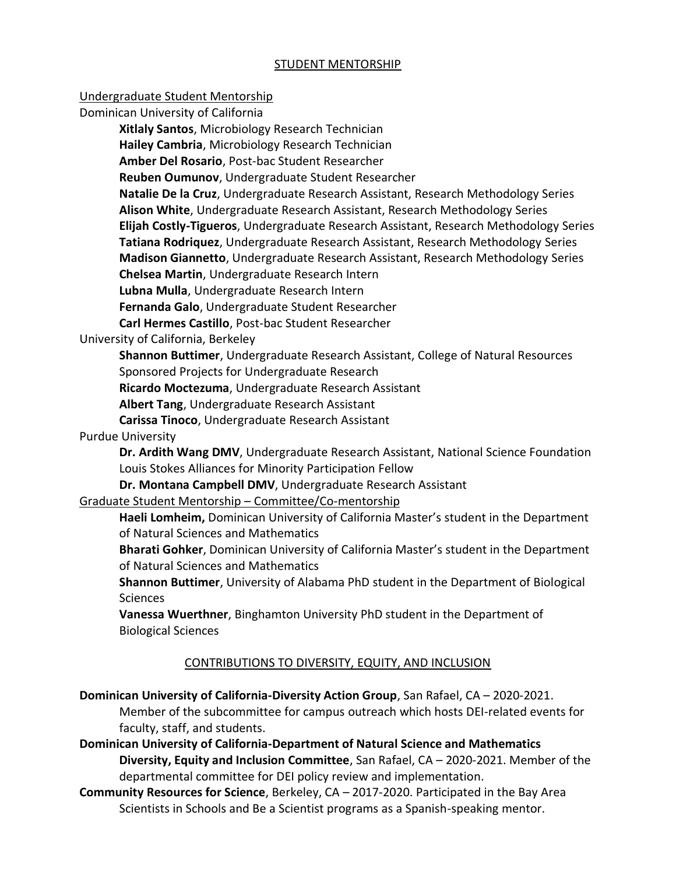## STUDENT MENTORSHIP

#### Undergraduate Student Mentorship

Dominican University of California

**Xitlaly Santos**, Microbiology Research Technician

**Hailey Cambria**, Microbiology Research Technician

**Amber Del Rosario**, Post-bac Student Researcher

**Reuben Oumunov**, Undergraduate Student Researcher

**Natalie De la Cruz**, Undergraduate Research Assistant, Research Methodology Series **Alison White**, Undergraduate Research Assistant, Research Methodology Series **Elijah Costly-Tigueros**, Undergraduate Research Assistant, Research Methodology Series **Tatiana Rodriquez**, Undergraduate Research Assistant, Research Methodology Series **Madison Giannetto**, Undergraduate Research Assistant, Research Methodology Series

**Chelsea Martin**, Undergraduate Research Intern

**Lubna Mulla**, Undergraduate Research Intern

**Fernanda Galo**, Undergraduate Student Researcher

**Carl Hermes Castillo**, Post-bac Student Researcher

University of California, Berkeley

**Shannon Buttimer**, Undergraduate Research Assistant, College of Natural Resources Sponsored Projects for Undergraduate Research

**Ricardo Moctezuma**, Undergraduate Research Assistant

**Albert Tang**, Undergraduate Research Assistant

**Carissa Tinoco**, Undergraduate Research Assistant

# Purdue University

**Dr. Ardith Wang DMV**, Undergraduate Research Assistant, National Science Foundation Louis Stokes Alliances for Minority Participation Fellow

**Dr. Montana Campbell DMV**, Undergraduate Research Assistant

# Graduate Student Mentorship – Committee/Co-mentorship

**Haeli Lomheim,** Dominican University of California Master's student in the Department of Natural Sciences and Mathematics

**Bharati Gohker**, Dominican University of California Master's student in the Department of Natural Sciences and Mathematics

**Shannon Buttimer**, University of Alabama PhD student in the Department of Biological **Sciences** 

**Vanessa Wuerthner**, Binghamton University PhD student in the Department of Biological Sciences

# CONTRIBUTIONS TO DIVERSITY, EQUITY, AND INCLUSION

**Dominican University of California-Diversity Action Group**, San Rafael, CA – 2020-2021.

Member of the subcommittee for campus outreach which hosts DEI-related events for faculty, staff, and students.

- **Dominican University of California-Department of Natural Science and Mathematics Diversity, Equity and Inclusion Committee**, San Rafael, CA – 2020-2021. Member of the departmental committee for DEI policy review and implementation.
- **Community Resources for Science**, Berkeley, CA 2017-2020. Participated in the Bay Area Scientists in Schools and Be a Scientist programs as a Spanish-speaking mentor.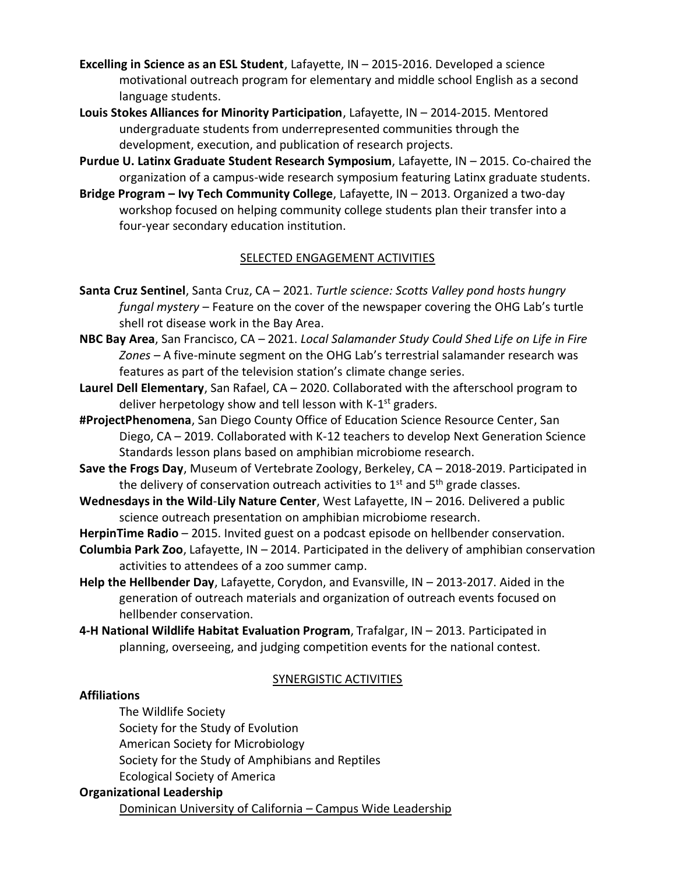- **Excelling in Science as an ESL Student**, Lafayette, IN 2015-2016. Developed a science motivational outreach program for elementary and middle school English as a second language students.
- **Louis Stokes Alliances for Minority Participation**, Lafayette, IN 2014-2015. Mentored undergraduate students from underrepresented communities through the development, execution, and publication of research projects.
- **Purdue U. Latinx Graduate Student Research Symposium**, Lafayette, IN 2015. Co-chaired the organization of a campus-wide research symposium featuring Latinx graduate students.
- **Bridge Program – Ivy Tech Community College**, Lafayette, IN 2013. Organized a two-day workshop focused on helping community college students plan their transfer into a four-year secondary education institution.

# SELECTED ENGAGEMENT ACTIVITIES

- **Santa Cruz Sentinel**, Santa Cruz, CA 2021. *Turtle science: Scotts Valley pond hosts hungry fungal mystery* – Feature on the cover of the newspaper covering the OHG Lab's turtle shell rot disease work in the Bay Area.
- **NBC Bay Area**, San Francisco, CA 2021. *Local Salamander Study Could Shed Life on Life in Fire Zones –* A five-minute segment on the OHG Lab's terrestrial salamander research was features as part of the television station's climate change series.
- **Laurel Dell Elementary**, San Rafael, CA 2020. Collaborated with the afterschool program to deliver herpetology show and tell lesson with K-1<sup>st</sup> graders.
- **#ProjectPhenomena**, San Diego County Office of Education Science Resource Center, San Diego, CA – 2019. Collaborated with K-12 teachers to develop Next Generation Science Standards lesson plans based on amphibian microbiome research.
- **Save the Frogs Day**, Museum of Vertebrate Zoology, Berkeley, CA 2018-2019. Participated in the delivery of conservation outreach activities to  $1<sup>st</sup>$  and  $5<sup>th</sup>$  grade classes.
- **Wednesdays in the Wild**-**Lily Nature Center**, West Lafayette, IN 2016. Delivered a public science outreach presentation on amphibian microbiome research.
- **HerpinTime Radio** 2015. Invited guest on a podcast episode on hellbender conservation.
- **Columbia Park Zoo**, Lafayette, IN 2014. Participated in the delivery of amphibian conservation activities to attendees of a zoo summer camp.
- **Help the Hellbender Day**, Lafayette, Corydon, and Evansville, IN 2013-2017. Aided in the generation of outreach materials and organization of outreach events focused on hellbender conservation.
- **4-H National Wildlife Habitat Evaluation Program**, Trafalgar, IN 2013. Participated in planning, overseeing, and judging competition events for the national contest.

# SYNERGISTIC ACTIVITIES

#### **Affiliations**

The Wildlife Society Society for the Study of Evolution American Society for Microbiology Society for the Study of Amphibians and Reptiles Ecological Society of America

# **Organizational Leadership**

Dominican University of California – Campus Wide Leadership